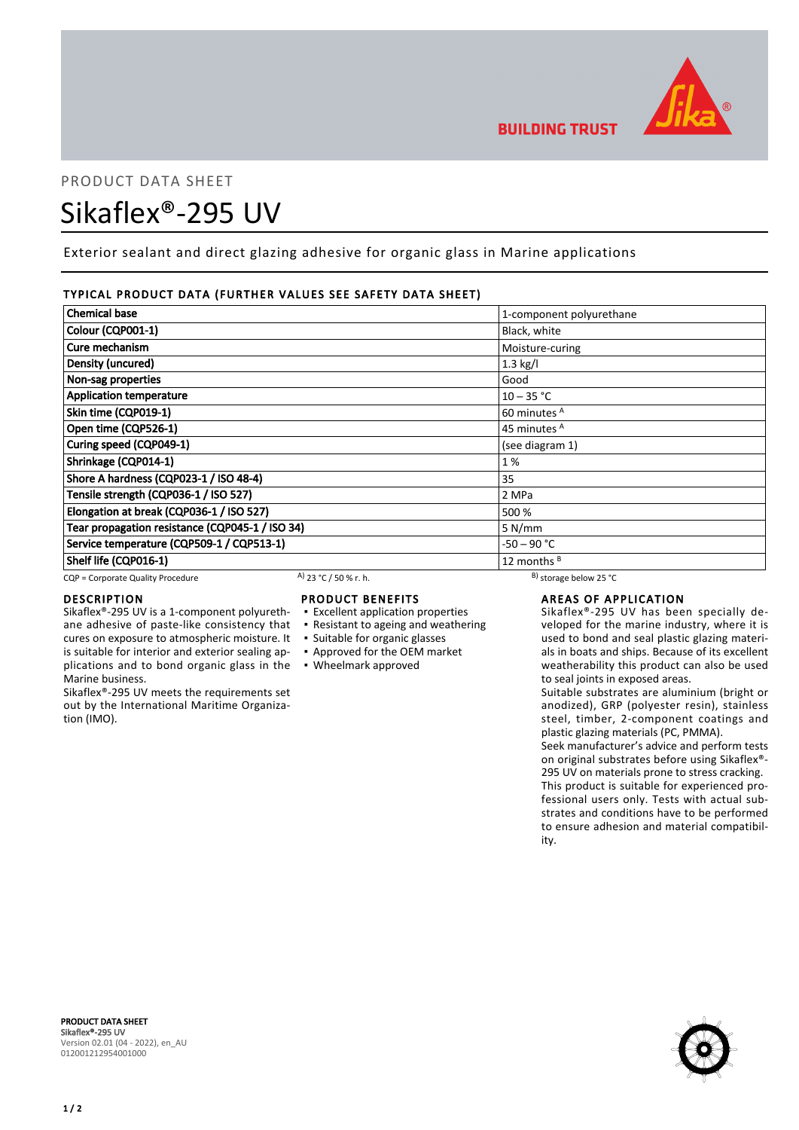

# PRODUCT DATA SHEET Sikaflex®-295 UV

Exterior sealant and direct glazing adhesive for organic glass in Marine applications

# TYPICAL PRODUCT DATA (FURTHER VALUES SEE SAFETY DATA SHEET)

| <b>Chemical base</b>                            |                       | 1-component polyurethane     |  |
|-------------------------------------------------|-----------------------|------------------------------|--|
| Colour (CQP001-1)                               |                       | Black, white                 |  |
| Cure mechanism                                  |                       | Moisture-curing              |  |
| Density (uncured)                               |                       | $1.3$ kg/l                   |  |
| Non-sag properties                              |                       | Good                         |  |
| <b>Application temperature</b>                  |                       | $10 - 35 °C$                 |  |
| Skin time (CQP019-1)                            |                       | 60 minutes <sup>A</sup>      |  |
| Open time (CQP526-1)                            |                       | 45 minutes <sup>A</sup>      |  |
| Curing speed (CQP049-1)                         |                       | (see diagram 1)              |  |
| Shrinkage (CQP014-1)                            |                       | 1%                           |  |
| Shore A hardness (CQP023-1 / ISO 48-4)          |                       | 35                           |  |
| Tensile strength (CQP036-1 / ISO 527)           |                       | 2 MPa                        |  |
| Elongation at break (CQP036-1 / ISO 527)        |                       | 500 %                        |  |
| Tear propagation resistance (CQP045-1 / ISO 34) |                       | 5 N/mm                       |  |
| Service temperature (CQP509-1 / CQP513-1)       |                       | -50 – 90 °C                  |  |
| Shelf life (CQP016-1)                           |                       | 12 months <sup>B</sup>       |  |
| CQP = Corporate Quality Procedure               | A) 23 °C / 50 % r. h. | $^{B}$ ) storage below 25 °C |  |

# DESCRIPTION

Sikaflex®-295 UV is a 1-component polyurethane adhesive of paste-like consistency that cures on exposure to atmospheric moisture. It

is suitable for interior and exterior sealing applications and to bond organic glass in the ▪ Wheelmark approved Marine business.

Sikaflex®-295 UV meets the requirements set out by the International Maritime Organization (IMO).

PRODUCT BENEFITS ▪ Excellent application properties

- Resistant to ageing and weathering
- Suitable for organic glasses
- Approved for the OEM market
- 

# AREAS OF APPLICATION

Sikaflex®-295 UV has been specially developed for the marine industry, where it is used to bond and seal plastic glazing materials in boats and ships. Because of its excellent weatherability this product can also be used to seal joints in exposed areas.

Suitable substrates are aluminium (bright or anodized), GRP (polyester resin), stainless steel, timber, 2-component coatings and plastic glazing materials (PC, PMMA).

Seek manufacturer's advice and perform tests on original substrates before using Sikaflex®- 295 UV on materials prone to stress cracking. This product is suitable for experienced professional users only. Tests with actual substrates and conditions have to be performed to ensure adhesion and material compatibility.



PRODUCT DATA SHEET Sikaflex®-295 UV Version 02.01 (04 - 2022), en\_AU 012001212954001000